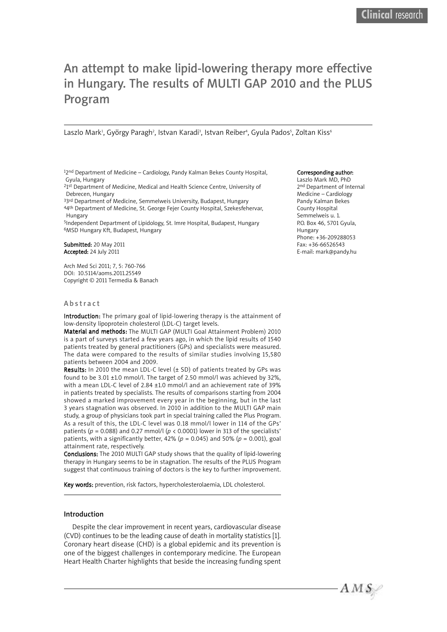# An attempt to make lipid-lowering therapy more effective in Hungary. The results of MULTI GAP 2010 and the PLUS Program

Laszlo Mark<sup>1</sup>, György Paragh<sup>2</sup>, Istvan Karadi<sup>3</sup>, Istvan Reiber<sup>4</sup>, Gyula Pados<sup>5</sup>, Zoltan Kiss<sup>6</sup>

12<sup>nd</sup> Department of Medicine - Cardiology, Pandy Kalman Bekes County Hospital, Gyula, Hungary

<sup>2</sup>1<sup>st</sup> Department of Medicine, Medical and Health Science Centre, University of Debrecen, Hungary

<sup>33rd</sup> Department of Medicine, Semmelweis University, Budapest, Hungary 44th Department of Medicine, St. George Fejer County Hospital, Szekesfehervar, Hungary

5Independent Department of Lipidology, St. Imre Hospital, Budapest, Hungary 6MSD Hungary Kft, Budapest, Hungary

Submitted: 20 May 2011 Accepted: 24 July 2011

Arch Med Sci 2011; 7, 5: 760-766 DOI: 10.5114/aoms.2011.25549 Copyright © 2011 Termedia & Banach

#### **Abstract**

Introduction: The primary goal of lipid-lowering therapy is the attainment of low-density lipoprotein cholesterol (LDL-C) target levels.

Material and methods: The MULTI GAP (MULTI Goal Attainment Problem) 2010 is a part of surveys started a few years ago, in which the lipid results of 1540 patients treated by general practitioners (GPs) and specialists were measured. The data were compared to the results of similar studies involving 15,580 patients between 2004 and 2009.

Results: In 2010 the mean LDL-C level  $(\pm$  SD) of patients treated by GPs was found to be 3.01 ±1.0 mmol/l. The target of 2.50 mmol/l was achieved by 32%, with a mean LDL-C level of 2.84 ±1.0 mmol/l and an achievement rate of 39% in patients treated by specialists. The results of comparisons starting from 2004 showed a marked improvement every year in the beginning, but in the last 3 years stagnation was observed. In 2010 in addition to the MULTI GAP main study, a group of physicians took part in special training called the Plus Program. As a result of this, the LDL-C level was 0.18 mmol/l lower in 114 of the GPs' patients ( $p = 0.088$ ) and 0.27 mmol/l ( $p < 0.0001$ ) lower in 313 of the specialists' patients, with a significantly better, 42% (*p* = 0.045) and 50% (*p* = 0.001), goal attainment rate, respectively.

Conclusions: The 2010 MULTI GAP study shows that the quality of lipid-lowering therapy in Hungary seems to be in stagnation. The results of the PLUS Program suggest that continuous training of doctors is the key to further improvement.

Key words: prevention, risk factors, hypercholesterolaemia, LDL cholesterol.

#### Introduction

Despite the clear improvement in recent years, cardiovascular disease (CVD) continues to be the leading cause of death in mortality statistics [1]. Coronary heart disease (CHD) is a global epidemic and its prevention is one of the biggest challenges in contemporary medicine. The European Heart Health Charter highlights that beside the increasing funding spent

#### Corresponding author:

Laszlo Mark MD, PhD 2<sup>nd</sup> Department of Internal Medicine – Cardiology Pandy Kalman Bekes County Hospital Semmelweis u. 1. P.O. Box 46, 5701 Gyula, Hungary Phone: +36-209288053 Fax: +36-66526543 E-mail: mark@pandy.hu

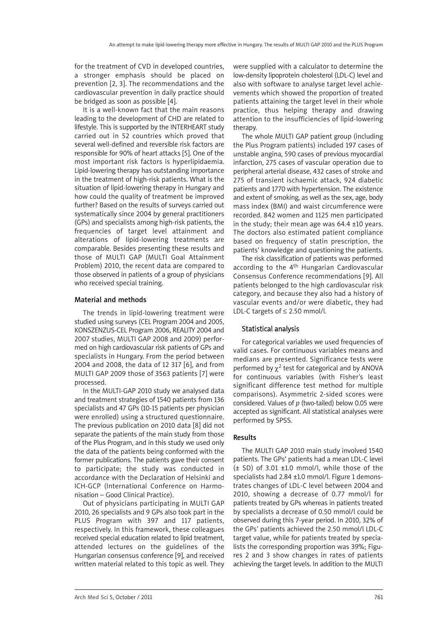for the treatment of CVD in developed countries, a stronger emphasis should be placed on prevention [2, 3]. The recommendations and the cardiovascular prevention in daily practice should be bridged as soon as possible [4].

It is a well-known fact that the main reasons leading to the development of CHD are related to lifestyle. This is supported by the INTERHEART study carried out in 52 countries which proved that several well-defined and reversible risk factors are responsible for 90% of heart attacks [5]. One of the most important risk factors is hyperlipidaemia. Lipid-lowering therapy has outstanding importance in the treatment of high-risk patients. What is the situation of lipid-lowering therapy in Hungary and how could the quality of treatment be improved further? Based on the results of surveys carried out systematically since 2004 by general practitioners (GPs) and specialists among high-risk patients, the frequencies of target level attainment and alterations of lipid-lowering treatments are comparable. Besides presenting these results and those of MULTI GAP (MULTI Goal Attainment Problem) 2010, the recent data are compared to those observed in patients of a group of physicians who received special training.

#### Material and methods

The trends in lipid-lowering treatment were studied using surveys (CEL Program 2004 and 2005, KONSZENZUS-CEL Program 2006, REALITY 2004 and 2007 studies, MULTI GAP 2008 and 2009) performed on high cardiovascular risk patients of GPs and specialists in Hungary. From the period between 2004 and 2008, the data of 12 317 [6], and from MULTI GAP 2009 those of 3563 patients [7] were processed.

In the MULTI-GAP 2010 study we analysed data and treatment strategies of 1540 patients from 136 specialists and 47 GPs (10-15 patients per physician were enrolled) using a structured questionnaire. The previous publication on 2010 data [8] did not separate the patients of the main study from those of the Plus Program, and in this study we used only the data of the patients being conformed with the former publications. The patients gave their consent to participate; the study was conducted in accordance with the Declaration of Helsinki and ICH-GCP (International Conference on Harmonisation – Good Clinical Practice).

Out of physicians participating in MULTI GAP 2010, 26 specialists and 9 GPs also took part in the PLUS Program with 397 and 117 patients, respectively. In this framework, these colleagues received special education related to lipid treatment, attended lectures on the guidelines of the Hungarian consensus conference [9], and received written material related to this topic as well. They were supplied with a calculator to determine the low-density lipoprotein cholesterol (LDL-C) level and also with software to analyse target level achievements which showed the proportion of treated patients attaining the target level in their whole practice, thus helping therapy and drawing attention to the insufficiencies of lipid-lowering therapy.

The whole MULTI GAP patient group (including the Plus Program patients) included 197 cases of unstable angina, 590 cases of previous myocardial infarction, 275 cases of vascular operation due to peripheral arterial disease, 432 cases of stroke and 275 of transient ischaemic attack, 924 diabetic patients and 1770 with hypertension. The existence and extent of smoking, as well as the sex, age, body mass index (BMI) and waist circumference were recorded. 842 women and 1125 men participated in the study; their mean age was  $64.4 \pm 10$  years. The doctors also estimated patient compliance based on frequency of statin prescription, the patients' knowledge and questioning the patients.

The risk classification of patients was performed according to the 4th Hungarian Cardiovascular Consensus Conference recommendations [9]. All patients belonged to the high cardiovascular risk category, and because they also had a history of vascular events and/or were diabetic, they had LDL-C targets of ≤ 2.50 mmol/l.

## Statistical analysis

For categorical variables we used frequencies of valid cases. For continuous variables means and medians are presented. Significance tests were performed by  $y^2$  test for categorical and by ANOVA for continuous variables (with Fisher's least significant difference test method for multiple comparisons). Asymmetric 2-sided scores were considered. Values of *p* (two-tailed) below 0.05 were accepted as significant. All statistical analyses were performed by SPSS.

## Results

The MULTI GAP 2010 main study involved 1540 patients. The GPs' patients had a mean LDL-C level  $(\pm$  SD) of 3.01  $\pm$ 1.0 mmol/l, while those of the specialists had 2.84 ±1.0 mmol/l. Figure 1 demonstrates changes of LDL-C level between 2004 and 2010, showing a decrease of 0.77 mmol/l for patients treated by GPs whereas in patients treated by specialists a decrease of 0.50 mmol/l could be observed during this 7-year period. In 2010, 32% of the GPs' patients achieved the 2.50 mmol/l LDL-C target value, while for patients treated by specialists the corresponding proportion was 39%; Figures 2 and 3 show changes in rates of patients achieving the target levels. In addition to the MULTI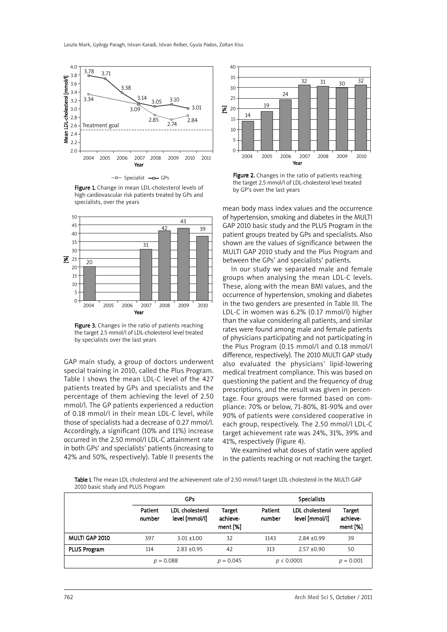

Figure 1. Change in mean LDL-cholesterol levels of high cardiovascular risk patients treated by GPs and specialists, over the years



Figure 3. Changes in the ratio of patients reaching the target 2.5 mmol/l of LDL-cholesterol level treated by specialists over the last years

GAP main study, a group of doctors underwent special training in 2010, called the Plus Program. Table I shows the mean LDL-C level of the 427 patients treated by GPs and specialists and the percentage of them achieving the level of 2.50 mmol/l. The GP patients experienced a reduction of 0.18 mmol/l in their mean LDL-C level, while those of specialists had a decrease of 0.27 mmol/l. Accordingly, a significant (10% and 11%) increase occurred in the 2.50 mmol/l LDL-C attainment rate in both GPs' and specialists' patients (increasing to 42% and 50%, respectively). Table II presents the



**Figure 2.** Changes in the ratio of patients reaching the target 2.5 mmol/l of LDL-cholesterol level treated by GP's over the last years

mean body mass index values and the occurrence of hypertension, smoking and diabetes in the MULTI GAP 2010 basic study and the PLUS Program in the patient groups treated by GPs and specialists. Also shown are the values of significance between the MULTI GAP 2010 study and the Plus Program and between the GPs' and specialists' patients.

In our study we separated male and female groups when analysing the mean LDL-C levels. These, along with the mean BMI values, and the occurrence of hypertension, smoking and diabetes in the two genders are presented in Table III. The LDL-C in women was 6.2% (0.17 mmol/l) higher than the value considering all patients, and similar rates were found among male and female patients of physicians participating and not participating in the Plus Program (0.15 mmol/l and 0.18 mmol/l difference, respectively). The 2010 MULTI GAP study also evaluated the physicians' lipid-lowering medical treatment compliance. This was based on questioning the patient and the frequency of drug prescriptions, and the result was given in percentage. Four groups were formed based on compliance: 70% or below, 71-80%, 81-90% and over 90% of patients were considered cooperative in each group, respectively. The 2.50 mmol/l LDL-C target achievement rate was 24%, 31%, 39% and 41%, respectively (Figure 4).

We examined what doses of statin were applied in the patients reaching or not reaching the target.

Table I. The mean LDL cholesterol and the achievement rate of 2.50 mmol/l target LDL cholesterol in the MULTI GAP 2010 basic study and PLUS Program

|                     | GPs               |                                   |                                | <b>Specialists</b> |                                   |                                |  |
|---------------------|-------------------|-----------------------------------|--------------------------------|--------------------|-----------------------------------|--------------------------------|--|
|                     | Patient<br>number | LDL cholesterol<br>level [mmol/l] | Target<br>achieve-<br>ment [%] | Patient<br>number  | LDL cholesterol<br>level [mmol/l] | Target<br>achieve-<br>ment [%] |  |
| MULTI GAP 2010      | 397               | $3.01 + 1.00$                     | 32                             | 1143               | $2.84 + 0.99$                     | 39                             |  |
| <b>PLUS Program</b> | 114               | $2.83 + 0.95$                     | 42                             | 313                | $2.57 + 0.90$                     | 50                             |  |
|                     | $p = 0.088$       |                                   | $p = 0.045$                    | p < 0.0001         |                                   | $p = 0.001$                    |  |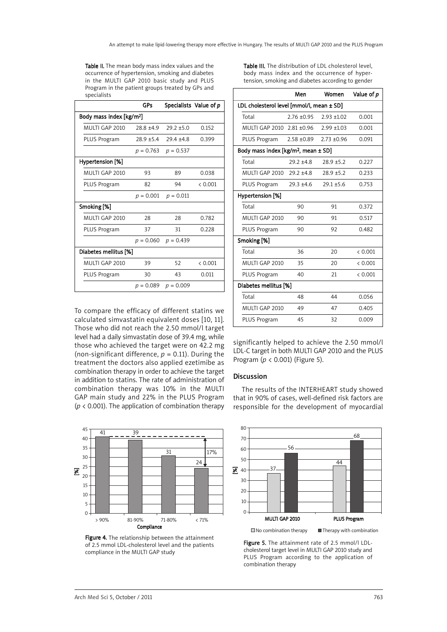Table II. The mean body mass index values and the occurrence of hypertension, smoking and diabetes in the MULTI GAP 2010 basic study and PLUS Program in the patient groups treated by GPs and

|                                      | GPs          | Specialists Value of p  |         |
|--------------------------------------|--------------|-------------------------|---------|
| Body mass index [kg/m <sup>2</sup> ] |              |                         |         |
| MULTI GAP 2010                       | $28.8 + 4.9$ | $29.2 + 5.0$            | 0.152   |
| PLUS Program                         | $28.9 + 5.4$ | $29.4 + 4.8$            | 0.399   |
|                                      | $p = 0.763$  | $p = 0.537$             |         |
| Hypertension [%]                     |              |                         |         |
| MULTI GAP 2010                       | 93           | 89                      | 0.038   |
| <b>PLUS Program</b>                  | 82           | 94                      | & 0.001 |
|                                      | $p = 0.001$  | $p = 0.011$             |         |
| Smoking [%]                          |              |                         |         |
| MULTI GAP 2010                       | 28           | 28                      | 0.782   |
| <b>PLUS Program</b>                  | 37           | 31                      | 0.228   |
|                                      |              | $p = 0.060$ $p = 0.439$ |         |
| Diabetes mellitus [%]                |              |                         |         |
| MULTI GAP 2010                       | 39           | 52                      | & 0.001 |
| <b>PLUS Program</b>                  | 30           | 43                      | 0.011   |
|                                      | $p = 0.089$  | $p = 0.009$             |         |

Table III. The distribution of LDL cholesterol level, body mass index and the occurrence of hypertension, smoking and diabetes according to gender

| r rogram in the patient groups treated by Gr 3 and<br>specialists |              |                         |                        |                                                 | Men            | Women           | Value of p |
|-------------------------------------------------------------------|--------------|-------------------------|------------------------|-------------------------------------------------|----------------|-----------------|------------|
|                                                                   | <b>GPs</b>   |                         | Specialists Value of p | LDL cholesterol level [mmol/l, mean ± SD]       |                |                 |            |
| dy mass index [kg/m <sup>2</sup> ]                                |              | Total                   | $2.76 \pm 0.95$        | $2.93 + 1.02$                                   | 0.001          |                 |            |
| <b>MULTI GAP 2010</b>                                             | $28.8 + 4.9$ | $29.2 + 5.0$            | 0.152                  | MULTI GAP 2010 2.81 ±0.96                       |                | $2.99 \pm 1.03$ | 0.001      |
| PLUS Program                                                      | $28.9 + 5.4$ | $29.4 \pm 4.8$          | 0.399                  | PLUS Program                                    | $2.58 + 0.89$  | $2.73 + 0.96$   | 0.091      |
|                                                                   | $p = 0.763$  | $p = 0.537$             |                        | Body mass index [kg/m <sup>2</sup> , mean ± SD] |                |                 |            |
| pertension [%]                                                    |              |                         |                        | Total                                           | $29.2 + 4.8$   | $28.9 + 5.2$    | 0.227      |
| <b>MULTI GAP 2010</b>                                             | 93           | 89                      | 0.038                  | MULTI GAP 2010                                  | $29.2 \pm 4.8$ | $28.9 + 5.2$    | 0.233      |
| PLUS Program                                                      | 82           | 94                      | < 0.001                | PLUS Program                                    | $29.3 \pm 4.6$ | $29.1 \pm 5.6$  | 0.753      |
|                                                                   | $p = 0.001$  | $p = 0.011$             |                        | Hypertension [%]                                |                |                 |            |
| n <b>oking [%]</b>                                                |              |                         |                        | Total                                           | 90             | 91              | 0.372      |
| <b>MULTI GAP 2010</b>                                             | 28           | 28                      | 0.782                  | MULTI GAP 2010                                  | 90             | 91              | 0.517      |
| PLUS Program                                                      | 37           | 31                      | 0.228                  | PLUS Program                                    | 90             | 92              | 0.482      |
|                                                                   |              | $p = 0.060$ $p = 0.439$ |                        | Smoking [%]                                     |                |                 |            |
| abetes mellitus [%]                                               |              | Total                   | 36                     | 20                                              | < 0.001        |                 |            |
| <b>MULTI GAP 2010</b>                                             | 39           | 52                      | < 0.001                | MULTI GAP 2010                                  | 35             | 20              | < 0.001    |
| PLUS Program                                                      | 30           | 43                      | 0.011                  | PLUS Program                                    | 40             | 21              | < 0.001    |
|                                                                   | $p = 0.089$  | $p = 0.009$             |                        | Diabetes mellitus [%]                           |                |                 |            |
|                                                                   |              |                         |                        | Total                                           | 48             | 44              | 0.056      |
| compare the efficacy of different statins we                      |              |                         |                        | MULTI GAP 2010                                  | 49             | 47              | 0.405      |
| culated simvastatin equivalent doses [10, 11].                    |              |                         |                        | PLUS Program                                    | 45             | 32              | 0.009      |
|                                                                   |              |                         |                        |                                                 |                |                 |            |

To compare the efficacy of different statins we calculated simvastatin equivalent doses [10, 11]. Those who did not reach the 2.50 mmol/l target level had a daily simvastatin dose of 39.4 mg, while those who achieved the target were on 42.2 mg (non-significant difference,  $p = 0.11$ ). During the treatment the doctors also applied ezetimibe as combination therapy in order to achieve the target in addition to statins. The rate of administration of combination therapy was 10% in the MULTI GAP main study and 22% in the PLUS Program (*p* < 0.001). The application of combination therapy



Figure 4. The relationship between the attainment of 2.5 mmol LDL-cholesterol level and the patients compliance in the MULTI GAP study

significantly helped to achieve the 2.50 mmol/l LDL-C target in both MULTI GAP 2010 and the PLUS Program (*p* < 0.001) (Figure 5).

# Discussion

The results of the INTERHEART study showed that in 90% of cases, well-defined risk factors are responsible for the development of myocardial



Figure 5. The attainment rate of 2.5 mmol/l LDLcholesterol target level in MULTI GAP 2010 study and PLUS Program according to the application of combination therapy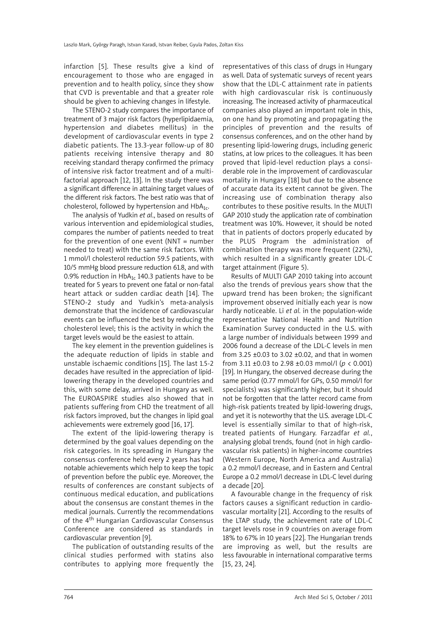infarction [5]. These results give a kind of encouragement to those who are engaged in prevention and to health policy, since they show that CVD is preventable and that a greater role should be given to achieving changes in lifestyle.

The STENO-2 study compares the importance of treatment of 3 major risk factors (hyperlipidaemia, hypertension and diabetes mellitus) in the development of cardiovascular events in type 2 diabetic patients. The 13.3-year follow-up of 80 patients receiving intensive therapy and 80 receiving standard therapy confirmed the primacy of intensive risk factor treatment and of a multifactorial approach [12, 13]. In the study there was a significant difference in attaining target values of the different risk factors. The best ratio was that of cholesterol, followed by hypertension and  $HbA_{1c}$ .

The analysis of Yudkin *et al*., based on results of various intervention and epidemiological studies, compares the number of patients needed to treat for the prevention of one event  $(NNT = number$ needed to treat) with the same risk factors. With 1 mmol/l cholesterol reduction 59.5 patients, with 10/5 mmHg blood pressure reduction 61.8, and with 0.9% reduction in  $HbA_{1c}$  140.3 patients have to be treated for 5 years to prevent one fatal or non-fatal heart attack or sudden cardiac death [14]. The STENO-2 study and Yudkin's meta-analysis demonstrate that the incidence of cardiovascular events can be influenced the best by reducing the cholesterol level; this is the activity in which the target levels would be the easiest to attain.

The key element in the prevention guidelines is the adequate reduction of lipids in stable and unstable ischaemic conditions [15]. The last 1.5-2 decades have resulted in the appreciation of lipidlowering therapy in the developed countries and this, with some delay, arrived in Hungary as well. The EUROASPIRE studies also showed that in patients suffering from CHD the treatment of all risk factors improved, but the changes in lipid goal achievements were extremely good [16, 17].

The extent of the lipid-lowering therapy is determined by the goal values depending on the risk categories. In its spreading in Hungary the consensus conference held every 2 years has had notable achievements which help to keep the topic of prevention before the public eye. Moreover, the results of conferences are constant subjects of continuous medical education, and publications about the consensus are constant themes in the medical journals. Currently the recommendations of the 4<sup>th</sup> Hungarian Cardiovascular Consensus Conference are considered as standards in cardiovascular prevention [9].

The publication of outstanding results of the clinical studies performed with statins also contributes to applying more frequently the representatives of this class of drugs in Hungary as well. Data of systematic surveys of recent years show that the LDL-C attainment rate in patients with high cardiovascular risk is continuously increasing. The increased activity of pharmaceutical companies also played an important role in this, on one hand by promoting and propagating the principles of prevention and the results of consensus conferences, and on the other hand by presenting lipid-lowering drugs, including generic statins, at low prices to the colleagues. It has been proved that lipid-level reduction plays a considerable role in the improvement of cardiovascular mortality in Hungary [18] but due to the absence of accurate data its extent cannot be given. The increasing use of combination therapy also contributes to these positive results. In the MULTI GAP 2010 study the application rate of combination treatment was 10%. However, it should be noted that in patients of doctors properly educated by the PLUS Program the administration of combination therapy was more frequent (22%), which resulted in a significantly greater LDL-C target attainment (Figure 5).

Results of MULTI GAP 2010 taking into account also the trends of previous years show that the upward trend has been broken; the significant improvement observed initially each year is now hardly noticeable. Li *et al.* in the population-wide representative National Health and Nutrition Examination Survey conducted in the U.S. with a large number of individuals between 1999 and 2006 found a decrease of the LDL-C levels in men from 3.25 ±0.03 to 3.02 ±0.02, and that in women from 3.11 ±0.03 to 2.98 ±0.03 mmol/l (*p* < 0.001) [19]. In Hungary, the observed decrease during the same period (0.77 mmol/l for GPs, 0.50 mmol/l for specialists) was significantly higher, but it should not be forgotten that the latter record came from high-risk patients treated by lipid-lowering drugs, and yet it is noteworthy that the U.S. average LDL-C level is essentially similar to that of high-risk, treated patients of Hungary. Farzadfar *et al.*, analysing global trends, found (not in high cardiovascular risk patients) in higher-income countries (Western Europe, North America and Australia) a 0.2 mmol/l decrease, and in Eastern and Central Europe a 0.2 mmol/l decrease in LDL-C level during a decade [20].

A favourable change in the frequency of risk factors causes a significant reduction in cardiovascular mortality [21]. According to the results of the LTAP study, the achievement rate of LDL-C target levels rose in 9 countries on average from 18% to 67% in 10 years [22]. The Hungarian trends are improving as well, but the results are less favourable in international comparative terms [15, 23, 24].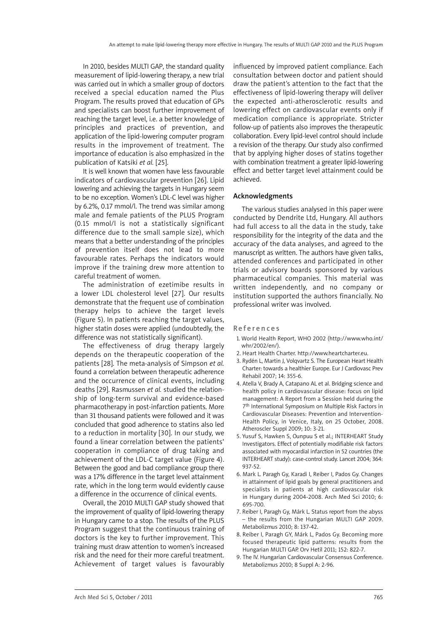In 2010, besides MULTI GAP, the standard quality measurement of lipid-lowering therapy, a new trial was carried out in which a smaller group of doctors received a special education named the Plus Program. The results proved that education of GPs and specialists can boost further improvement of reaching the target level, i.e. a better knowledge of principles and practices of prevention, and application of the lipid-lowering computer program results in the improvement of treatment. The importance of education is also emphasized in the publication of Katsiki *et al.* [25].

It is well known that women have less favourable indicators of cardiovascular prevention [26]. Lipid lowering and achieving the targets in Hungary seem to be no exception. Women's LDL-C level was higher by 6.2%, 0.17 mmol/l. The trend was similar among male and female patients of the PLUS Program (0.15 mmol/l is not a statistically significant difference due to the small sample size), which means that a better understanding of the principles of prevention itself does not lead to more favourable rates. Perhaps the indicators would improve if the training drew more attention to careful treatment of women.

The administration of ezetimibe results in a lower LDL cholesterol level [27]. Our results demonstrate that the frequent use of combination therapy helps to achieve the target levels (Figure 5). In patients reaching the target values, higher statin doses were applied (undoubtedly, the difference was not statistically significant).

The effectiveness of drug therapy largely depends on the therapeutic cooperation of the patients [28]. The meta-analysis of Simpson *et al.* found a correlation between therapeutic adherence and the occurrence of clinical events, including deaths [29]. Rasmussen *et al.* studied the relationship of long-term survival and evidence-based pharmacotherapy in post-infarction patients. More than 31 thousand patients were followed and it was concluded that good adherence to statins also led to a reduction in mortality [30]. In our study, we found a linear correlation between the patients' cooperation in compliance of drug taking and achievement of the LDL-C target value (Figure 4). Between the good and bad compliance group there was a 17% difference in the target level attainment rate, which in the long term would evidently cause a difference in the occurrence of clinical events.

Overall, the 2010 MULTI GAP study showed that the improvement of quality of lipid-lowering therapy in Hungary came to a stop. The results of the PLUS Program suggest that the continuous training of doctors is the key to further improvement. This training must draw attention to women's increased risk and the need for their more careful treatment. Achievement of target values is favourably

influenced by improved patient compliance. Each consultation between doctor and patient should draw the patient's attention to the fact that the effectiveness of lipid-lowering therapy will deliver the expected anti-atherosclerotic results and lowering effect on cardiovascular events only if medication compliance is appropriate. Stricter follow-up of patients also improves the therapeutic collaboration. Every lipid-level control should include a revision of the therapy. Our study also confirmed that by applying higher doses of statins together with combination treatment a greater lipid-lowering effect and better target level attainment could be achieved.

## Acknowledgments

The various studies analysed in this paper were conducted by Dendrite Ltd, Hungary. All authors had full access to all the data in the study, take responsibility for the integrity of the data and the accuracy of the data analyses, and agreed to the manuscript as written. The authors have given talks, attended conferences and participated in other trials or advisory boards sponsored by various pharmaceutical companies. This material was written independently, and no company or institution supported the authors financially. No professional writer was involved.

#### References

- 1. World Health Report, WHO 2002 (http://www.who.int/ whr/2002/en/).
- 2. Heart Health Charter. http://www.heartcharter.eu.
- 3. Rydén L, Martin J, Volqvartz S. The European Heart Health Charter: towards a healthier Europe. Eur J Cardiovasc Prev Rehabil 2007; 14: 355-6.
- 4. Atella V, Brady A, Catapano AL et al. Bridging science and health policy in cardiovascular disease: focus on lipid management: A Report from a Session held during the 7th International Symposium on Multiple Risk Factors in Cardiovascular Diseases: Prevention and Intervention-Health Policy, in Venice, Italy, on 25 October, 2008. Atheroscler Suppl 2009; 10: 3-21.
- 5. Yusuf S, Hawken S, Ounpuu S et al.; INTERHEART Study Investigators. Effect of potentially modifiable risk factors associated with myocardial infarction in 52 countries (the INTERHEART study): case-control study. Lancet 2004; 364: 937-52.
- 6. Mark L. Paragh Gy, Karadi I, Reiber I, Pados Gy. Changes in attainment of lipid goals by general practitioners and specialists in patients at high cardiovascular risk in Hungary during 2004-2008. Arch Med Sci 2010; 6: 695-700.
- 7. Reiber I, Paragh Gy, Márk L. Status report from the abyss – the results from the Hungarian MULTI GAP 2009. Metabolizmus 2010; 8: 137-42.
- 8. Reiber I, Paragh GY, Márk L, Pados Gy. Becoming more focused therapeutic lipid patterns: results from the Hungarian MULTI GAP. Orv Hetil 2011; 152: 822-7.
- 9. The IV. Hungarian Cardiovascular Consensus Conference. Metabolizmus 2010; 8 Suppl A: 2-96.